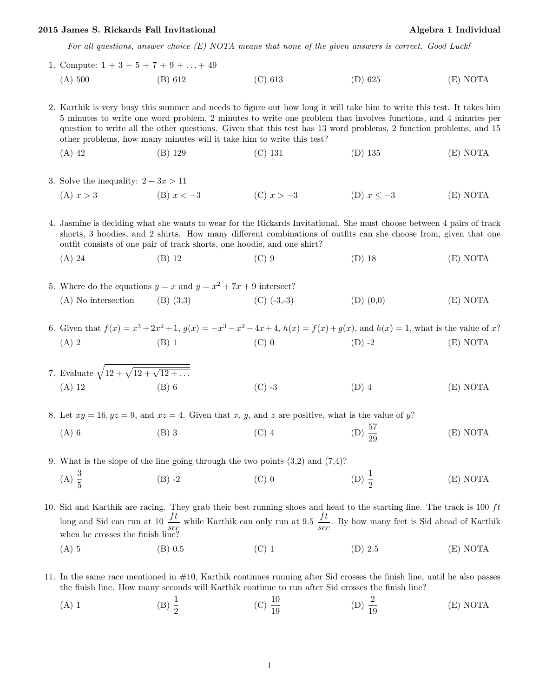## 2015 James S. Rickards Fall Invitational Algebra 1 Individual Algebra 1 Individual

For all questions, answer choice (E) NOTA means that none of the given answers is correct. Good Luck!

1. Compute:  $1 + 3 + 5 + 7 + 9 + \ldots + 49$ (A) 500 (B) 612 (C) 613 (D) 625 (E) NOTA

2. Karthik is very busy this summer and needs to figure out how long it will take him to write this test. It takes him 5 minutes to write one word problem, 2 minutes to write one problem that involves functions, and 4 minutes per question to write all the other questions. Given that this test has 13 word problems, 2 function problems, and 15 other problems, how many minutes will it take him to write this test?

- (A) 42 (B) 129 (C) 131 (D) 135 (E) NOTA
- 3. Solve the inequality:  $2 3x > 11$ 
	- (A)  $x > 3$  (B)  $x < -3$  (C)  $x > -3$  (D)  $x \le -3$  (E) NOTA

4. Jasmine is deciding what she wants to wear for the Rickards Invitational. She must choose between 4 pairs of track shorts, 3 hoodies, and 2 shirts. How many different combinations of outfits can she choose from, given that one outfit consists of one pair of track shorts, one hoodie, and one shirt?

- (A) 24 (B) 12 (C) 9 (D) 18 (E) NOTA
- 5. Where do the equations  $y = x$  and  $y = x^2 + 7x + 9$  intersect? (A) No intersection (B) (3,3) (C)  $(-3,-3)$  (D)  $(0,0)$  (E) NOTA
- 6. Given that  $f(x) = x^3 + 2x^2 + 1$ ,  $g(x) = -x^3 x^2 4x + 4$ ,  $h(x) = f(x) + g(x)$ , and  $h(x) = 1$ , what is the value of x? (A) 2 (B) 1 (C) 0 (D) -2 (E) NOTA

7. Evaluate 
$$
\sqrt{12 + \sqrt{12 + \sqrt{12 + \dots}}}
$$
  
(A) 12 (B) 6 (C) -3 (D) 4 (E) NOTA

8. Let  $xy = 16, yz = 9$ , and  $xz = 4$ . Given that x, y, and z are positive, what is the value of y?

(A) 6 (B) 3 (C) 4 (D)  $\frac{57}{20}$ (D)  $\frac{57}{29}$ (E) NOTA

9. What is the slope of the line going through the two points (3,2) and (7,4)? (A)  $\frac{3}{5}$ (B) -2 (C) 0 (D)  $\frac{1}{2}$ (D)  $\frac{1}{2}$ (E) NOTA

10. Sid and Karthik are racing. They grab their best running shoes and head to the starting line. The track is  $100 \text{ ft}$ long and Sid can run at  $10 \frac{ft}{sec}$  while Karthik can only run at 9.5  $\frac{ft}{sec}$ . By how many feet is Sid ahead of Karthik when he crosses the finish line?

- (A) 5 (B) 0.5 (C) 1 (D) 2.5 (E) NOTA
- 11. In the same race mentioned in #10, Karthik continues running after Sid crosses the finish line, until he also passes the finish line. How many seconds will Karthik continue to run after Sid crosses the finish line?
	- (A) 1 (B)  $\frac{1}{2}$ (C)  $\frac{10}{19}$ (D)  $\frac{2}{19}$ (E) NOTA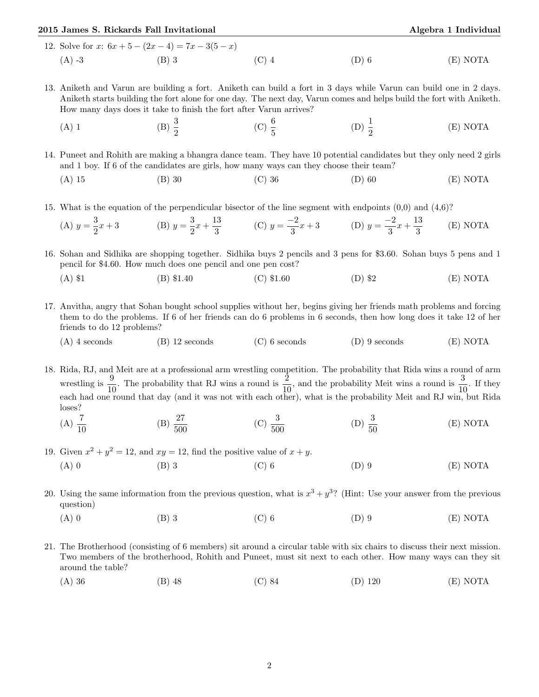## 2015 James S. Rickards Fall Invitational Algebra 1 Individual Algebra 1 Individual 12. Solve for  $x: 6x + 5 - (2x - 4) = 7x - 3(5 - x)$ (A) -3 (B) 3 (C) 4 (D) 6 (E) NOTA

- 13. Aniketh and Varun are building a fort. Aniketh can build a fort in 3 days while Varun can build one in 2 days. Aniketh starts building the fort alone for one day. The next day, Varun comes and helps build the fort with Aniketh. How many days does it take to finish the fort after Varun arrives?
	- (A) 1 (B)  $\frac{3}{2}$ (C)  $\frac{6}{5}$ (D)  $\frac{1}{2}$ (E) NOTA

14. Puneet and Rohith are making a bhangra dance team. They have 10 potential candidates but they only need 2 girls and 1 boy. If 6 of the candidates are girls, how many ways can they choose their team?

- (A) 15 (B) 30 (C) 36 (D) 60 (E) NOTA
- 15. What is the equation of the perpendicular bisector of the line segment with endpoints (0,0) and (4,6)?

(A) 
$$
y = \frac{3}{2}x + 3
$$
 (B)  $y = \frac{3}{2}x + \frac{13}{3}$  (C)  $y = \frac{-2}{3}x + 3$  (D)  $y = \frac{-2}{3}x + \frac{13}{3}$  (E) NOTA

16. Sohan and Sidhika are shopping together. Sidhika buys 2 pencils and 3 pens for \$3.60. Sohan buys 5 pens and 1 pencil for \$4.60. How much does one pencil and one pen cost?

- (A) \$1 (B) \$1.40 (C) \$1.60 (D) \$2 (E) NOTA
- 17. Anvitha, angry that Sohan bought school supplies without her, begins giving her friends math problems and forcing them to do the problems. If 6 of her friends can do 6 problems in 6 seconds, then how long does it take 12 of her friends to do 12 problems?
	- (A) 4 seconds (B) 12 seconds (C) 6 seconds (D) 9 seconds (E) NOTA

18. Rida, RJ, and Meit are at a professional arm wrestling competition. The probability that Rida wins a round of arm wrestling is  $\frac{9}{10}$ . The probability that RJ wins a round is  $\frac{2}{10}$ , and the probability Meit wins a round is  $\frac{3}{10}$ . If they each had one round that day (and it was not with each other), what is the probability Meit and RJ win, but Rida loses?

(A)  $\frac{7}{10}$ (B)  $\frac{27}{500}$ (C)  $\frac{3}{500}$ (D)  $\frac{3}{50}$ (E) NOTA

19. Given  $x^2 + y^2 = 12$ , and  $xy = 12$ , find the positive value of  $x + y$ .

- (A) 0 (B) 3 (C) 6 (D) 9 (E) NOTA
- 20. Using the same information from the previous question, what is  $x^3 + y^3$ ? (Hint: Use your answer from the previous question)
	- (A) 0 (B) 3 (C) 6 (D) 9 (E) NOTA
- 21. The Brotherhood (consisting of 6 members) sit around a circular table with six chairs to discuss their next mission. Two members of the brotherhood, Rohith and Puneet, must sit next to each other. How many ways can they sit around the table?
	- (A) 36 (B) 48 (C) 84 (D) 120 (E) NOTA